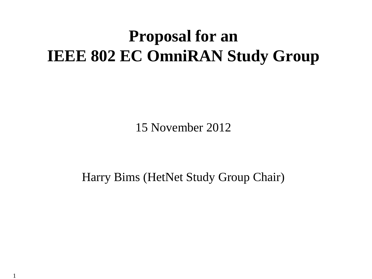## **Proposal for an IEEE 802 EC OmniRAN Study Group**

15 November 2012

Harry Bims (HetNet Study Group Chair)

1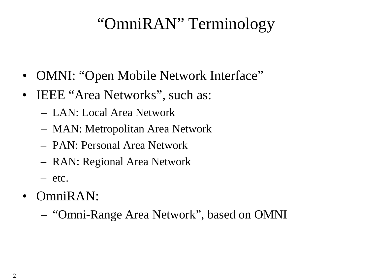#### "OmniRAN" Terminology

- OMNI: "Open Mobile Network Interface"
- IEEE "Area Networks", such as:
	- LAN: Local Area Network
	- MAN: Metropolitan Area Network
	- PAN: Personal Area Network
	- RAN: Regional Area Network
	- etc.
- OmniRAN:
	- "Omni-Range Area Network", based on OMNI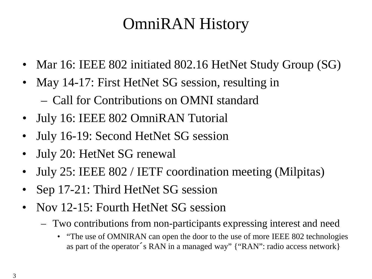## OmniRAN History

- Mar 16: IEEE 802 initiated 802.16 HetNet Study Group (SG)
- May 14-17: First HetNet SG session, resulting in – Call for Contributions on OMNI standard
- July 16: IEEE 802 OmniRAN Tutorial
- July 16-19: Second HetNet SG session
- July 20: HetNet SG renewal
- July 25: IEEE 802 / IETF coordination meeting (Milpitas)
- Sep 17-21: Third HetNet SG session
- Nov 12-15: Fourth HetNet SG session
	- Two contributions from non-participants expressing interest and need
		- "The use of OMNIRAN can open the door to the use of more IEEE 802 technologies as part of the operator´s RAN in a managed way" {"RAN": radio access network}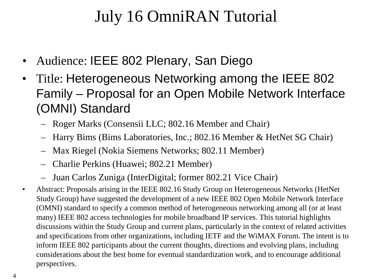## July 16 OmniRAN Tutorial

- Audience: IEEE 802 Plenary, San Diego
- Title: Heterogeneous Networking among the IEEE 802 Family – Proposal for an Open Mobile Network Interface (OMNI) Standard
	- Roger Marks (Consensii LLC; 802.16 Member and Chair)
	- Harry Bims (Bims Laboratories, Inc.; 802.16 Member & HetNet SG Chair)
	- Max Riegel (Nokia Siemens Networks; 802.11 Member)
	- Charlie Perkins (Huawei; 802.21 Member)
	- Juan Carlos Zuniga (InterDigital; former 802.21 Vice Chair)
- Abstract: Proposals arising in the IEEE 802.16 Study Group on Heterogeneous Networks (HetNet Study Group) have suggested the development of a new IEEE 802 Open Mobile Network Interface (OMNI) standard to specify a common method of heterogeneous networking among all (or at least many) IEEE 802 access technologies for mobile broadband IP services. This tutorial highlights discussions within the Study Group and current plans, particularly in the context of related activities and specifications from other organizations, including IETF and the WiMAX Forum. The intent is to inform IEEE 802 participants about the current thoughts, directions and evolving plans, including considerations about the best home for eventual standardization work, and to encourage additional perspectives.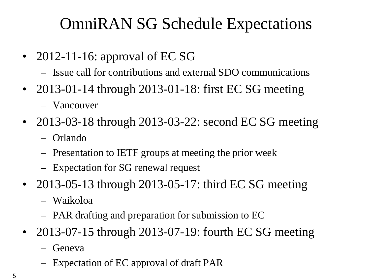## OmniRAN SG Schedule Expectations

- 2012-11-16: approval of EC SG
	- Issue call for contributions and external SDO communications
- 2013-01-14 through 2013-01-18: first EC SG meeting
	- Vancouver
- 2013-03-18 through 2013-03-22: second EC SG meeting
	- Orlando
	- Presentation to IETF groups at meeting the prior week
	- Expectation for SG renewal request
- 2013-05-13 through 2013-05-17: third EC SG meeting
	- Waikoloa
	- PAR drafting and preparation for submission to EC
- 2013-07-15 through 2013-07-19: fourth EC SG meeting
	- Geneva
	- Expectation of EC approval of draft PAR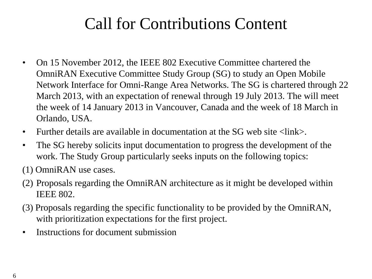#### Call for Contributions Content

- On 15 November 2012, the IEEE 802 Executive Committee chartered the OmniRAN Executive Committee Study Group (SG) to study an Open Mobile Network Interface for Omni-Range Area Networks. The SG is chartered through 22 March 2013, with an expectation of renewal through 19 July 2013. The will meet the week of 14 January 2013 in Vancouver, Canada and the week of 18 March in Orlando, USA.
- Further details are available in documentation at the SG web site  $\langle$ link $\rangle$ .
- The SG hereby solicits input documentation to progress the development of the work. The Study Group particularly seeks inputs on the following topics:
- (1) OmniRAN use cases.
- (2) Proposals regarding the OmniRAN architecture as it might be developed within IEEE 802.
- (3) Proposals regarding the specific functionality to be provided by the OmniRAN, with prioritization expectations for the first project.
- Instructions for document submission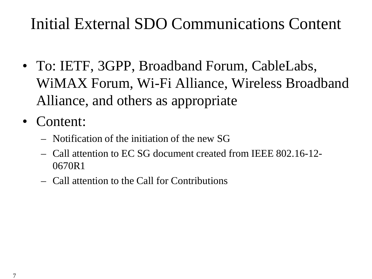# Initial External SDO Communications Content

- To: IETF, 3GPP, Broadband Forum, CableLabs, WiMAX Forum, Wi-Fi Alliance, Wireless Broadband Alliance, and others as appropriate
- Content:
	- Notification of the initiation of the new SG
	- Call attention to EC SG document created from IEEE 802.16-12- 0670R1
	- Call attention to the Call for Contributions